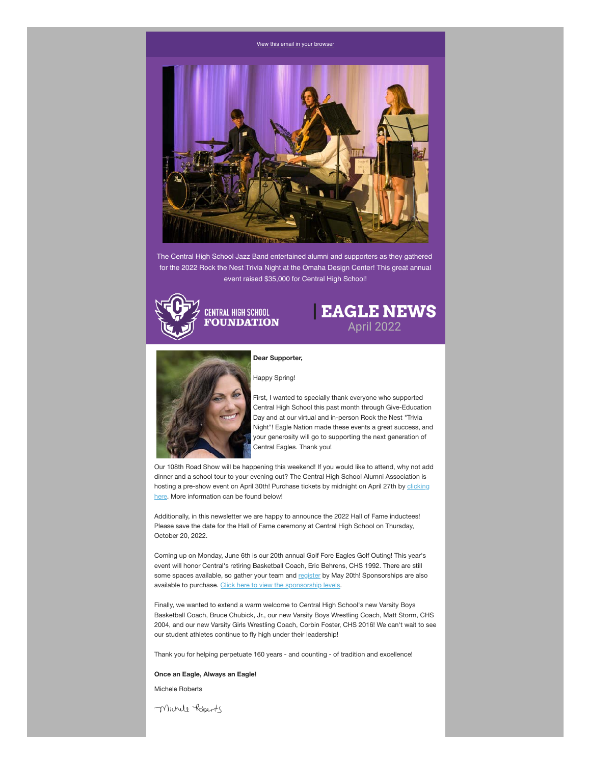#### [View this email in your browser](https://mailchi.mp/chsfomaha/latrell-wrightsell-jr-sets-new-school-record-for-most-points-scored-in-a-single-game-6251073?e=[UNIQID])



The Central High School Jazz Band entertained alumni and supporters as they gathered for the 2022 Rock the Nest Trivia Night at the Omaha Design Center! This great annual event raised \$35,000 for Central High School!



# **| EAGLE NEWS** April 2022



#### **Dear Supporter,**

Happy Spring!

First, I wanted to specially thank everyone who supported Central High School this past month through Give-Education Day and at our virtual and in-person Rock the Nest "Trivia Night"! Eagle Nation made these events a great success, and your generosity will go to supporting the next generation of Central Eagles. Thank you!

Our 108th Road Show will be happening this weekend! If you would like to attend, why not add dinner and a school tour to your evening out? The Central High School Alumni Association is [hosting a pre-show event on April 30th! Purchase tickets by midnight on April 27th by clicking](https://www.omahacentralalumni.com/shop/?fbclid=IwAR1H8LEmVUYAocndYoIx1Y6ajr9LXsOcgUz4KwjlaLwBSf4KZzrO4m4eLTg) here. More information can be found below!

Additionally, in this newsletter we are happy to announce the 2022 Hall of Fame inductees! Please save the date for the Hall of Fame ceremony at Central High School on Thursday, October 20, 2022.

Coming up on Monday, June 6th is our 20th annual Golf Fore Eagles Golf Outing! This year's event will honor Central's retiring Basketball Coach, Eric Behrens, CHS 1992. There are still some spaces available, so gather your team and [register](https://chsfomaha.org/events/golf-fore-eagles/) by May 20th! Sponsorships are also available to purchase. [Click here to view the sponsorship levels](https://chsfomaha.org/become-a-golf-sponsor/).

Finally, we wanted to extend a warm welcome to Central High School's new Varsity Boys Basketball Coach, Bruce Chubick, Jr., our new Varsity Boys Wrestling Coach, Matt Storm, CHS 2004, and our new Varsity Girls Wrestling Coach, Corbin Foster, CHS 2016! We can't wait to see our student athletes continue to fly high under their leadership!

Thank you for helping perpetuate 160 years - and counting - of tradition and excellence!

#### **Once an Eagle, Always an Eagle!**

Michele Roberts

Michell Roberts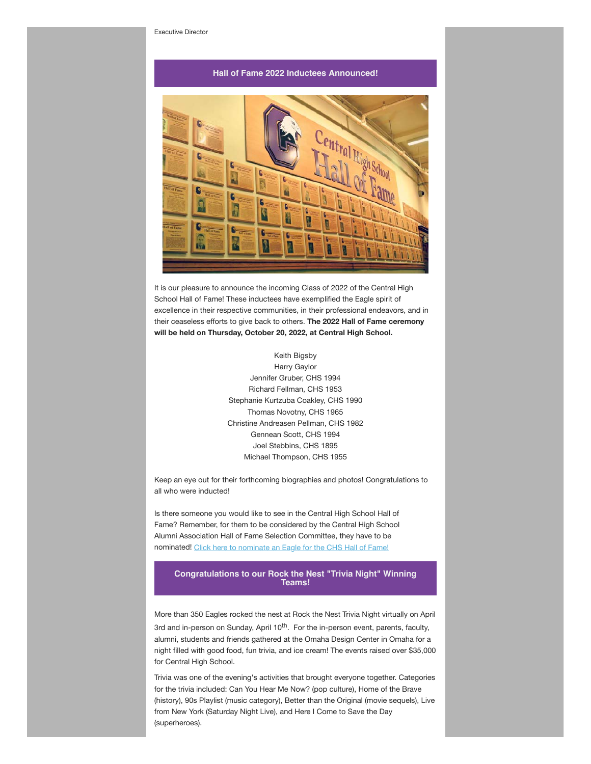### **Hall of Fame 2022 Inductees Announced!**



It is our pleasure to announce the incoming Class of 2022 of the Central High School Hall of Fame! These inductees have exemplified the Eagle spirit of excellence in their respective communities, in their professional endeavors, and in their ceaseless efforts to give back to others. **The 2022 Hall of Fame ceremony will be held on Thursday, October 20, 2022, at Central High School.**

> Keith Bigsby Harry Gaylor Jennifer Gruber, CHS 1994 Richard Fellman, CHS 1953 Stephanie Kurtzuba Coakley, CHS 1990 Thomas Novotny, CHS 1965 Christine Andreasen Pellman, CHS 1982 Gennean Scott, CHS 1994 Joel Stebbins, CHS 1895 Michael Thompson, CHS 1955

Keep an eye out for their forthcoming biographies and photos! Congratulations to all who were inducted!

Is there someone you would like to see in the Central High School Hall of Fame? Remember, for them to be considered by the Central High School Alumni Association Hall of Fame Selection Committee, they have to be nominated! [Click here to nominate an Eagle for the CHS Hall of Fame!](https://chsfomaha.org/hall-of-fame/)

**Congratulations to our Rock the Nest "Trivia Night" Winning Teams!**

More than 350 Eagles rocked the nest at Rock the Nest Trivia Night virtually on April

3rd and in-person on Sunday, April 10<sup>th</sup>. For the in-person event, parents, faculty, alumni, students and friends gathered at the Omaha Design Center in Omaha for a night filled with good food, fun trivia, and ice cream! The events raised over \$35,000 for Central High School.

Trivia was one of the evening's activities that brought everyone together. Categories for the trivia included: Can You Hear Me Now? (pop culture), Home of the Brave (history), 90s Playlist (music category), Better than the Original (movie sequels), Live from New York (Saturday Night Live), and Here I Come to Save the Day (superheroes).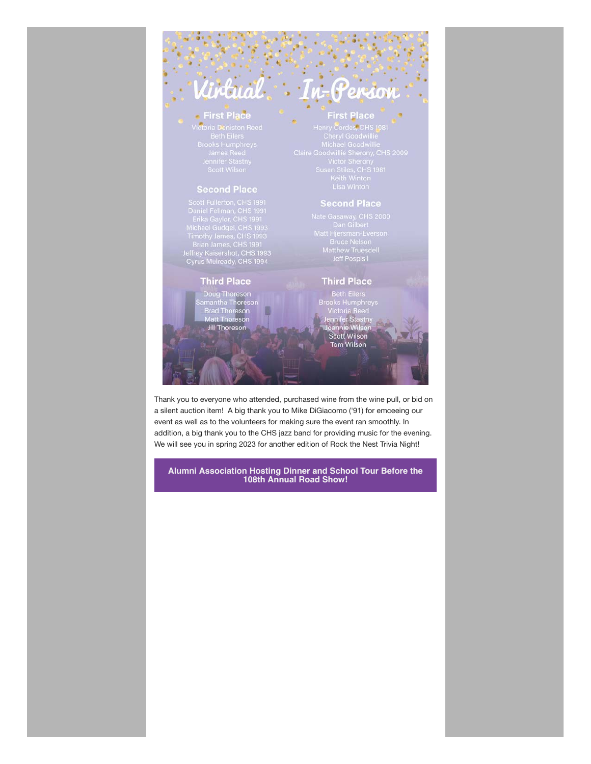### **• First Place**

Finance Track<br>Cictoria Deniston Reed<br>Beth Eilers<br>Brooks Humphreys<br>James Reed<br>Jennifer Stastny<br>Scott Wilson

tual

### **Second Place**

Scott Fullerton, CHS<br>
1991<br>
Daniel Fellman, CHS<br>
Erika Gaylor, CHS<br>
1991<br>
Michael Gudgel, CHS<br>
1993<br>
Timothy James, CHS<br>
1993<br>
Jeffrey Kaisershot, CHS<br>
1993<br>
Cyrus Mulready, CHS<br>
1994

### **Third Place**

Doug Thoreson<br>amantha Thoreson<br>Brad Thoreson<br>Matt Thoreson **Jill Thoreson** 

### **First Place**

erso

 $\boldsymbol{\theta}$ 

enry Cordes, CHS 1981 Keith Winton<br>Lisa Winton

Nate Gasaway, CHS 2000<br>Dan Gilbert<br>Matt Hjersman-Everson<br>Bruce Nelson<br>Matthew Truesdell<br>Jeff Pospisil

### **Third Place**

Beth Eilers<br>Brooks Humphreys<br>Victoria Reed<br>Jennifer Stastny<br>Joannie Wilson<br>Scott Wilson<br>Scott Wilson

**Tom Wilson** 

Thank you to everyone who attended, purchased wine from the wine pull, or bid on a silent auction item! A big thank you to Mike DiGiacomo ('91) for emceeing our event as well as to the volunteers for making sure the event ran smoothly. In addition, a big thank you to the CHS jazz band for providing music for the evening. We will see you in spring 2023 for another edition of Rock the Nest Trivia Night!

**Alumni Association Hosting Dinner and School Tour Before the 108th Annual Road Show!**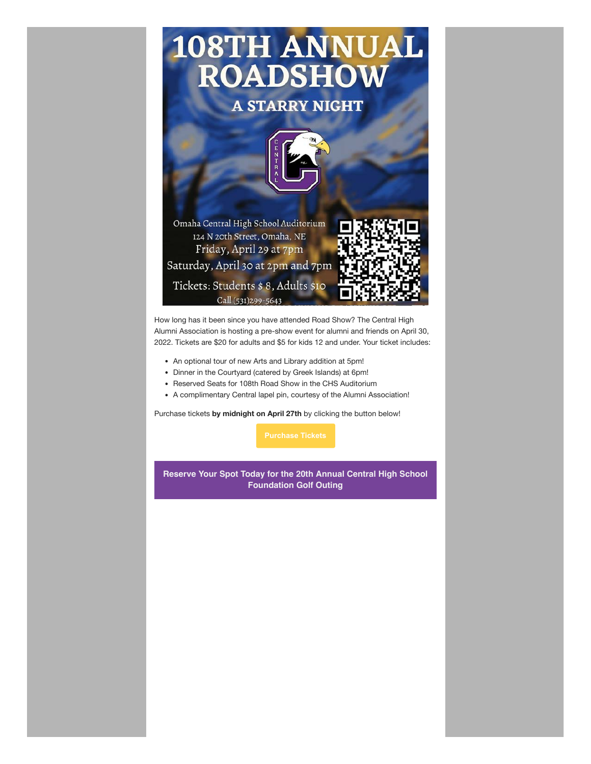

How long has it been since you have attended Road Show? The Central High Alumni Association is hosting a pre-show event for alumni and friends on April 30, 2022. Tickets are \$20 for adults and \$5 for kids 12 and under. Your ticket includes:

- An optional tour of new Arts and Library addition at 5pm!
- Dinner in the Courtyard (catered by Greek Islands) at 6pm!
- Reserved Seats for 108th Road Show in the CHS Auditorium
- A complimentary Central lapel pin, courtesy of the Alumni Association!

Purchase tickets **by midnight on April 27th** by clicking the button below!

**Reserve Your Spot Today for the 20th Annual Central High School Foundation Golf Outing**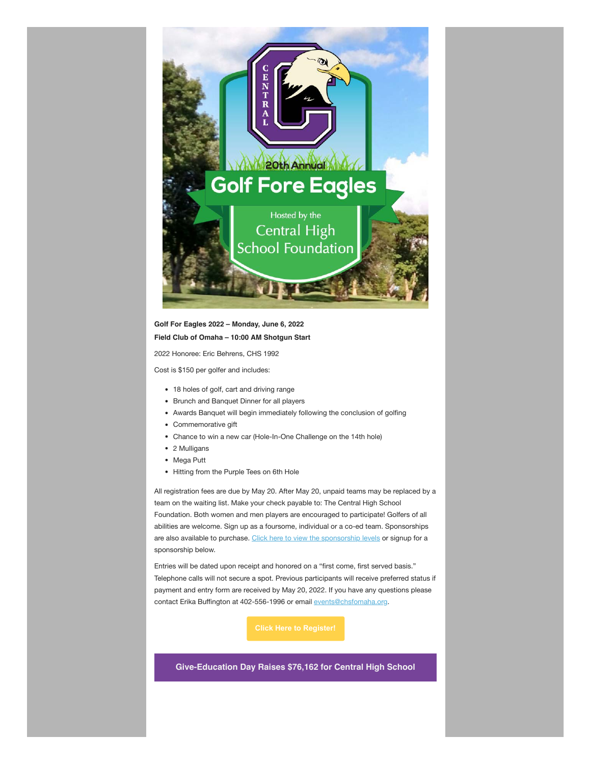

## **Golf For Eagles 2022 – Monday, June 6, 2022 Field Club of Omaha – 10:00 AM Shotgun Start**

2022 Honoree: Eric Behrens, CHS 1992

Cost is \$150 per golfer and includes:

- 18 holes of golf, cart and driving range
- Brunch and Banquet Dinner for all players
- Awards Banquet will begin immediately following the conclusion of golfing
- Commemorative gift
- Chance to win a new car (Hole-In-One Challenge on the 14th hole)
- 2 Mulligans
- Mega Putt
- Hitting from the Purple Tees on 6th Hole

All registration fees are due by May 20. After May 20, unpaid teams may be replaced by a team on the waiting list. Make your check payable to: The Central High School Foundation. Both women and men players are encouraged to participate! Golfers of all abilities are welcome. Sign up as a foursome, individual or a co-ed team. Sponsorships are also available to purchase. [Click here to view the sponsorship levels](https://chsfomaha.org/become-a-golf-sponsor/) or signup for a sponsorship below.

Entries will be dated upon receipt and honored on a "first come, first served basis." Telephone calls will not secure a spot. Previous participants will receive preferred status if payment and entry form are received by May 20, 2022. If you have any questions please contact Erika Buffington at 402-556-1996 or email [events@chsfomaha.org.](mailto:events@chsfomaha.org)

**Give-Education Day Raises \$76,162 for Central High School**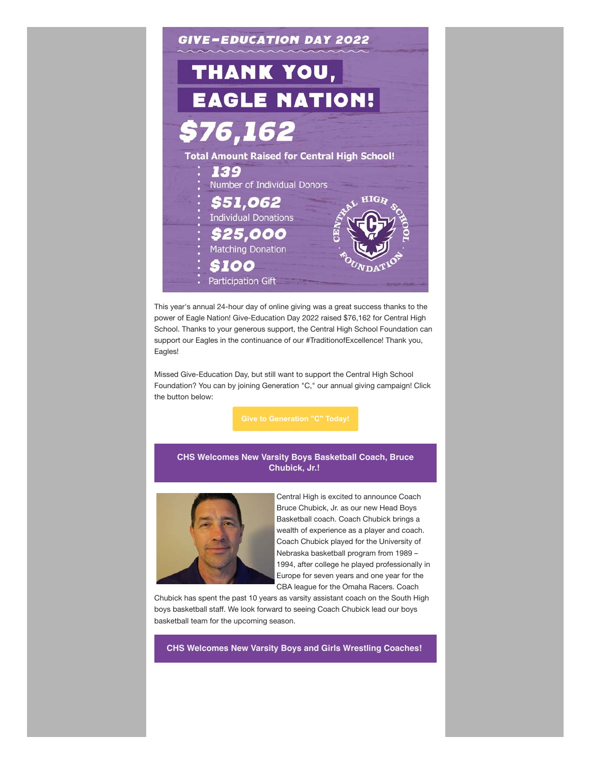

This year's annual 24-hour day of online giving was a great success thanks to the power of Eagle Nation! Give-Education Day 2022 raised \$76,162 for Central High School. Thanks to your generous support, the Central High School Foundation can support our Eagles in the continuance of our #TraditionofExcellence! Thank you, Eagles!

Missed Give-Education Day, but still want to support the Central High School Foundation? You can by joining Generation "C," our annual giving campaign! Click the button below:

### **CHS Welcomes New Varsity Boys Basketball Coach, Bruce Chubick, Jr.!**



Central High is excited to announce Coach Bruce Chubick, Jr. as our new Head Boys Basketball coach. Coach Chubick brings a wealth of experience as a player and coach. Coach Chubick played for the University of Nebraska basketball program from 1989 – 1994, after college he played professionally in Europe for seven years and one year for the CBA league for the Omaha Racers. Coach

Chubick has spent the past 10 years as varsity assistant coach on the South High boys basketball staff. We look forward to seeing Coach Chubick lead our boys basketball team for the upcoming season.

**CHS Welcomes New Varsity Boys and Girls Wrestling Coaches!**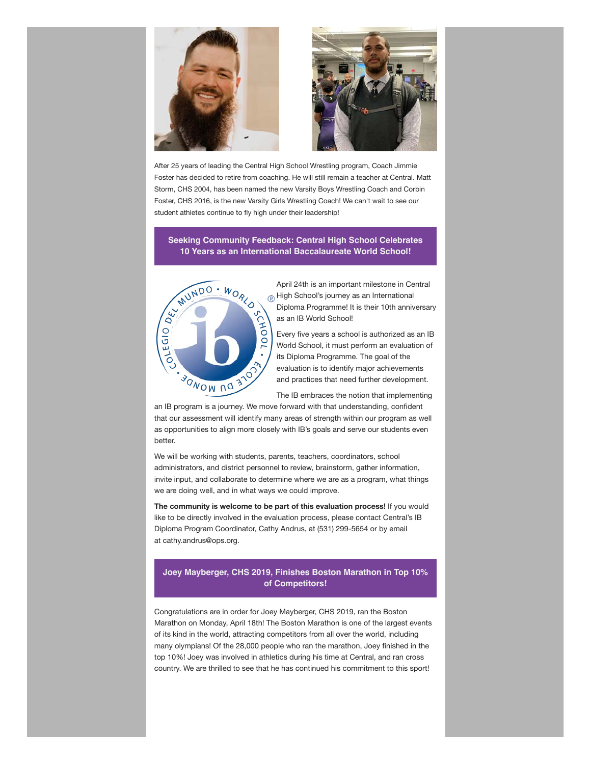



After 25 years of leading the Central High School Wrestling program, Coach Jimmie Foster has decided to retire from coaching. He will still remain a teacher at Central. Matt Storm, CHS 2004, has been named the new Varsity Boys Wrestling Coach and Corbin Foster, CHS 2016, is the new Varsity Girls Wrestling Coach! We can't wait to see our student athletes continue to fly high under their leadership!

**Seeking Community Feedback: Central High School Celebrates 10 Years as an International Baccalaureate World School!**



April 24th is an important milestone in Central  $\circledR$  High School's journey as an International Diploma Programme! It is their 10th anniversary as an IB World School!

Every five years a school is authorized as an IB World School, it must perform an evaluation of its Diploma Programme. The goal of the evaluation is to identify major achievements and practices that need further development.

The IB embraces the notion that implementing

an IB program is a journey. We move forward with that understanding, confident that our assessment will identify many areas of strength within our program as well as opportunities to align more closely with IB's goals and serve our students even better.

We will be working with students, parents, teachers, coordinators, school administrators, and district personnel to review, brainstorm, gather information, invite input, and collaborate to determine where we are as a program, what things we are doing well, and in what ways we could improve.

**The community is welcome to be part of this evaluation process!** If you would like to be directly involved in the evaluation process, please contact Central's IB Diploma Program Coordinator, Cathy Andrus, at (531) 299-5654 or by email at cathy.andrus@ops.org.

### **Joey Mayberger, CHS 2019, Finishes Boston Marathon in Top 10% of Competitors!**

Congratulations are in order for Joey Mayberger, CHS 2019, ran the Boston Marathon on Monday, April 18th! The Boston Marathon is one of the largest events of its kind in the world, attracting competitors from all over the world, including many olympians! Of the 28,000 people who ran the marathon, Joey finished in the top 10%! Joey was involved in athletics during his time at Central, and ran cross country. We are thrilled to see that he has continued his commitment to this sport!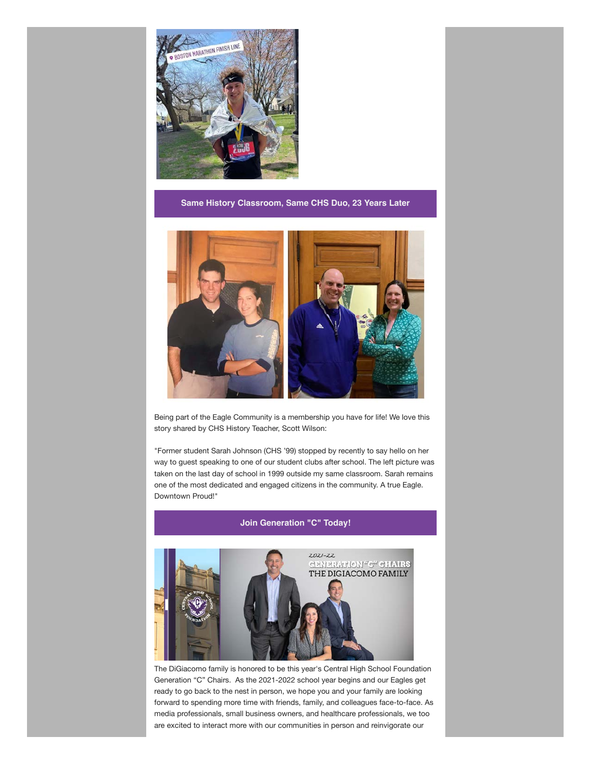

**Same History Classroom, Same CHS Duo, 23 Years Later**



Being part of the Eagle Community is a membership you have for life! We love this story shared by CHS History Teacher, Scott Wilson:

"Former student Sarah Johnson (CHS '99) stopped by recently to say hello on her way to guest speaking to one of our student clubs after school. The left picture was taken on the last day of school in 1999 outside my same classroom. Sarah remains one of the most dedicated and engaged citizens in the community. A true Eagle. Downtown Proud!"



The DiGiacomo family is honored to be this year's Central High School Foundation Generation "C" Chairs. As the 2021-2022 school year begins and our Eagles get ready to go back to the nest in person, we hope you and your family are looking forward to spending more time with friends, family, and colleagues face-to-face. As media professionals, small business owners, and healthcare professionals, we too are excited to interact more with our communities in person and reinvigorate our

**Join Generation "C" Today!**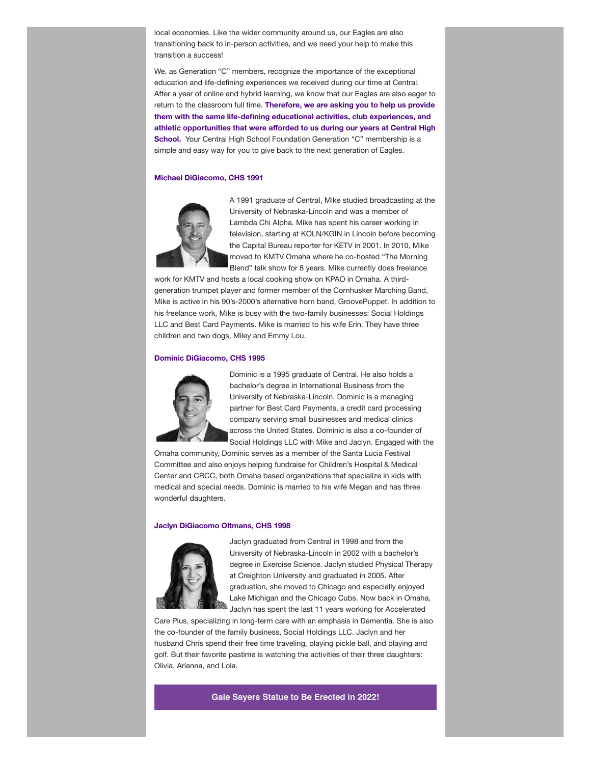local economies. Like the wider community around us, our Eagles are also transitioning back to in-person activities, and we need your help to make this transition a success!

We, as Generation "C" members, recognize the importance of the exceptional education and life-defining experiences we received during our time at Central. After a year of online and hybrid learning, we know that our Eagles are also eager to return to the classroom full time. **Therefore, we are asking you to help us provide them with the same life-defining educational activities, club experiences, and athletic opportunities that were afforded to us during our years at Central High School.** Your Central High School Foundation Generation "C" membership is a simple and easy way for you to give back to the next generation of Eagles.

#### **Michael DiGiacomo, CHS 1991**



A 1991 graduate of Central, Mike studied broadcasting at the University of Nebraska-Lincoln and was a member of Lambda Chi Alpha. Mike has spent his career working in television, starting at KOLN/KGIN in Lincoln before becoming the Capital Bureau reporter for KETV in 2001. In 2010, Mike moved to KMTV Omaha where he co-hosted "The Morning Blend" talk show for 8 years. Mike currently does freelance

work for KMTV and hosts a local cooking show on KPAO in Omaha. A thirdgeneration trumpet player and former member of the Cornhusker Marching Band, Mike is active in his 90's-2000's alternative horn band, GroovePuppet. In addition to his freelance work, Mike is busy with the two-family businesses: Social Holdings LLC and Best Card Payments. Mike is married to his wife Erin. They have three children and two dogs, Miley and Emmy Lou.

#### **Dominic DiGiacomo, CHS 1995**



Dominic is a 1995 graduate of Central. He also holds a bachelor's degree in International Business from the University of Nebraska-Lincoln. Dominic is a managing partner for Best Card Payments, a credit card processing company serving small businesses and medical clinics across the United States. Dominic is also a co-founder of Social Holdings LLC with Mike and Jaclyn. Engaged with the

Omaha community, Dominic serves as a member of the Santa Lucia Festival Committee and also enjoys helping fundraise for Children's Hospital & Medical Center and CRCC, both Omaha based organizations that specialize in kids with medical and special needs. Dominic is married to his wife Megan and has three wonderful daughters.

#### **Jaclyn DiGiacomo Oltmans, CHS 1998**



Jaclyn graduated from Central in 1998 and from the University of Nebraska-Lincoln in 2002 with a bachelor's degree in Exercise Science. Jaclyn studied Physical Therapy at Creighton University and graduated in 2005. After graduation, she moved to Chicago and especially enjoyed Lake Michigan and the Chicago Cubs. Now back in Omaha, Jaclyn has spent the last 11 years working for Accelerated

Care Plus, specializing in long-term care with an emphasis in Dementia. She is also the co-founder of the family business, Social Holdings LLC. Jaclyn and her husband Chris spend their free time traveling, playing pickle ball, and playing and golf. But their favorite pastime is watching the activities of their three daughters: Olivia, Arianna, and Lola.

**Gale Sayers Statue to Be Erected in 2022!**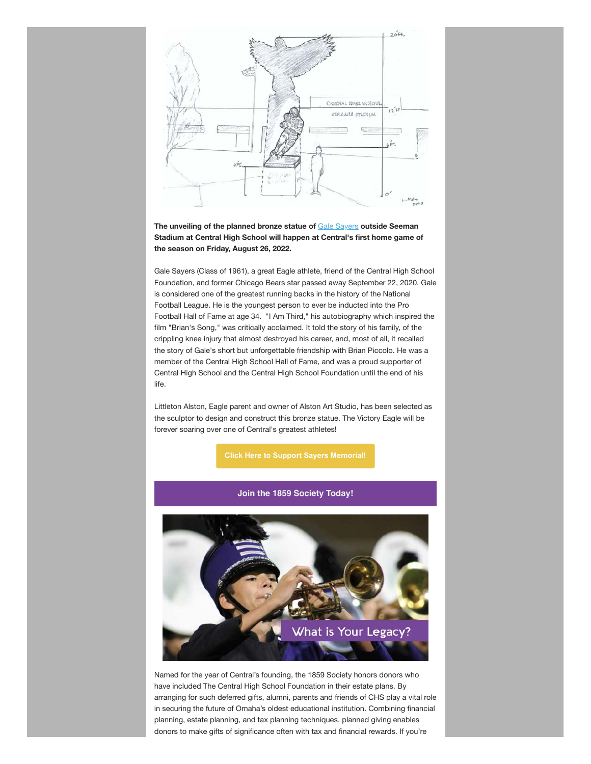

**The unveiling of the planned bronze statue of** [Gale Sayers](https://chsfomaha.org/halloffame/gale-sayers/) **outside Seeman Stadium at Central High School will happen at Central's first home game of the season on Friday, August 26, 2022.**

Gale Sayers (Class of 1961), a great Eagle athlete, friend of the Central High School Foundation, and former Chicago Bears star passed away September 22, 2020. Gale is considered one of the greatest running backs in the history of the National Football League. He is the youngest person to ever be inducted into the Pro Football Hall of Fame at age 34. "I Am Third," his autobiography which inspired the film "Brian's Song," was critically acclaimed. It told the story of his family, of the crippling knee injury that almost destroyed his career, and, most of all, it recalled the story of Gale's short but unforgettable friendship with Brian Piccolo. He was a member of the Central High School Hall of Fame, and was a proud supporter of Central High School and the Central High School Foundation until the end of his life.

Littleton Alston, Eagle parent and owner of Alston Art Studio, has been selected as the sculptor to design and construct this bronze statue. The Victory Eagle will be forever soaring over one of Central's greatest athletes!

**[Click Here to Support Sayers Memorial!](https://chsfomaha.org/support/memorial-giving/)**

**Join the 1859 Society Today!**



Named for the year of Central's founding, the 1859 Society honors donors who have included The Central High School Foundation in their estate plans. By arranging for such deferred gifts, alumni, parents and friends of CHS play a vital role in securing the future of Omaha's oldest educational institution. Combining financial planning, estate planning, and tax planning techniques, planned giving enables donors to make gifts of significance often with tax and financial rewards. If you're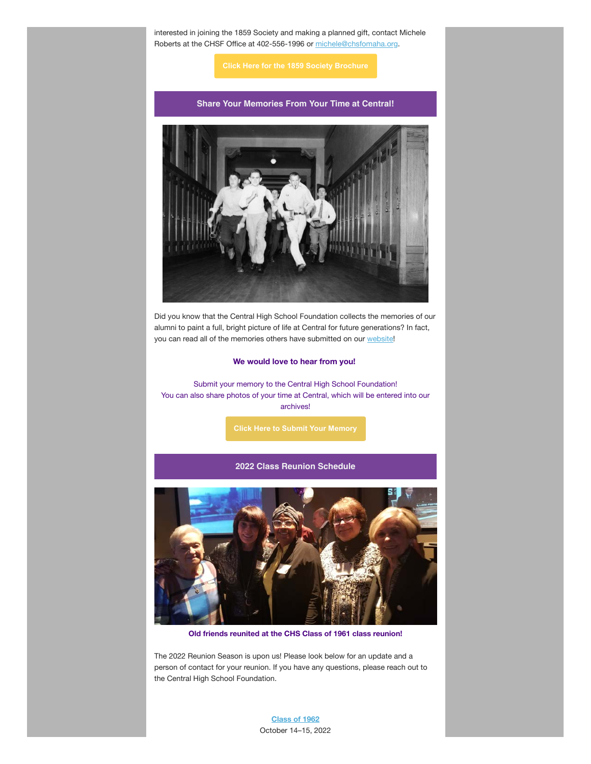interested in joining the 1859 Society and making a planned gift, contact Michele Roberts at the CHSF Office at 402-556-1996 or [michele@chsfomaha.org](mailto:michele@chsfomaha.org).

### **Share Your Memories From Your Time at Central!**



Did you know that the Central High School Foundation collects the memories of our alumni to paint a full, bright picture of life at Central for future generations? In fact, you can read all of the memories others have submitted on our [website](https://chsfomaha.org/alumni/chs-memories/)!

#### **We would love to hear from you!**

Submit your memory to the Central High School Foundation! You can also share photos of your time at Central, which will be entered into our archives!

### **2022 Class Reunion Schedule**



**Old friends reunited at the CHS Class of 1961 class reunion!**

The 2022 Reunion Season is upon us! Please look below for an update and a person of contact for your reunion. If you have any questions, please reach out to the Central High School Foundation.

> **[Class of 1962](https://chsfomaha.org/events/class-of-1962-reunion/)** October 14–15, 2022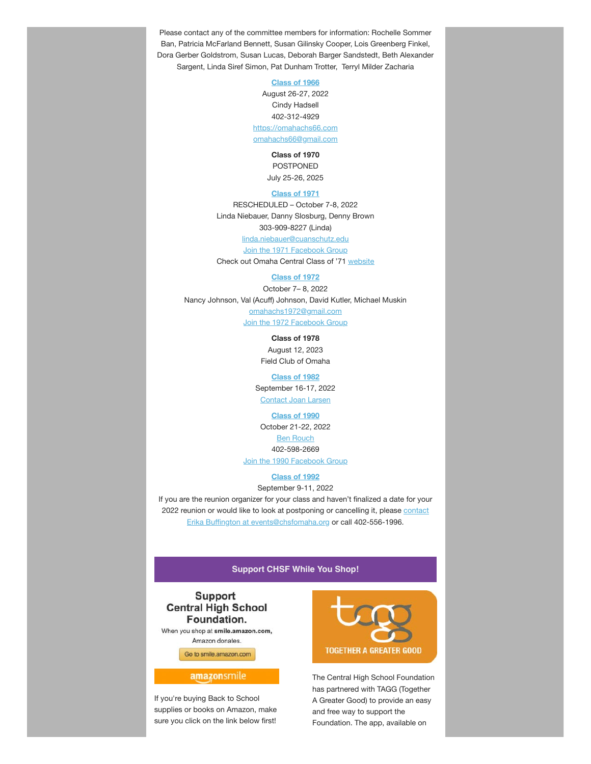Please contact any of the committee members for information: Rochelle Sommer Ban, Patricia McFarland Bennett, Susan Gilinsky Cooper, Lois Greenberg Finkel, Dora Gerber Goldstrom, Susan Lucas, Deborah Barger Sandstedt, Beth Alexander Sargent, Linda Siref Simon, Pat Dunham Trotter, Terryl Milder Zacharia

**[Class of 1966](https://chsfomaha.org/events/class-of-1966/)**

August 26-27, 2022 Cindy Hadsell 402-312-4929 [https://omahachs66.com](https://omahachs66.com/) [omahachs66@gmail.com](mailto:omahachs66@gmail.com)

> **Class of 1970** POSTPONED July 25-26, 2025

#### **[Class of 1971](https://chsfomaha.org/events/class-of-1971-reunion/)**

RESCHEDULED – October 7-8, 2022 Linda Niebauer, Danny Slosburg, Denny Brown 303-909-8227 (Linda)

[linda.niebauer@cuanschutz.edu](mailto:linda.niebauer@cuanschutz.edu) [Join the 1971 Facebook Group](https://www.facebook.com/groups/112224362181582) Check out Omaha Central Class of '71 [website](https://omahacentral71.classquest.com/)

#### **[Class of 1972](https://chsfomaha.org/events/class-of-1972-reunion/)**

October 7– 8, 2022 Nancy Johnson, Val (Acuff) Johnson, David Kutler, Michael Muskin [omahachs1972@gmail.com](mailto:omahachs1972@gmail.com)

[Join the 1972 Facebook Group](https://www.facebook.com/OmahaCHS1972)

**Class of 1978** August 12, 2023 Field Club of Omaha

### **[Class of 1982](https://chsfomaha.org/events/class-of-1982-reunion/)**

September 16-17, 2022 [Contact Joan Larsen](mailto:joan.larsen@wellsfargo.com)

#### **[Class of 1990](https://chsfomaha.org/events/class-of-1990-reunion/)**

October 21-22, 2022 [Ben Rouch](mailto:benjamin.rouch@me.com) 402-598-2669 [Join the 1990 Facebook Group](https://www.facebook.com/omahacentralhighclassof1990/)

### **[Class of 1992](https://chsfomaha.org/events/class-of-1992-reunion/)**

September 9-11, 2022

If you are the reunion organizer for your class and haven't finalized a date for your 2022 r[eunion or would like to look at postponing or cancelling it, please contact](mailto:foundation@chsfomaha.org) Erika Buffington at [events@chsfomaha.org](mailto:events@chsfomaha.org) or call 402-556-1996.

### **Support CHSF While You Shop!**

### **Support Central High School** Foundation.

When you shop at smile.amazon.com, Amazon donates

Go to smile.amazon.com

### amazonsmile

If you're buying Back to School supplies or books on Amazon, make sure you click on the link below first!



The Central High School Foundation has partnered with TAGG (Together A Greater Good) to provide an easy and free way to support the Foundation. The app, available on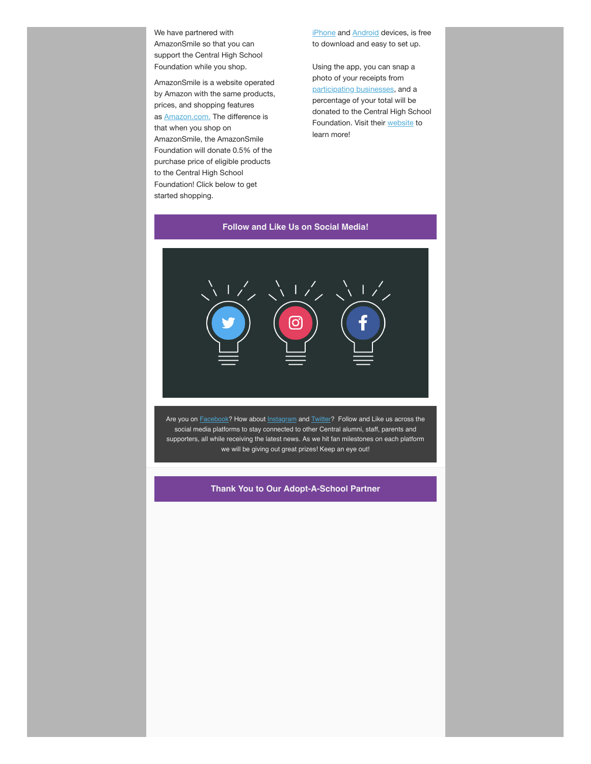We have partnered with AmazonSmile so that you can support the Central High School Foundation while you shop.

AmazonSmile is a website operated by Amazon with the same products, prices, and shopping features as [Amazon.com.](http://amazon.com/?fbclid=IwAR1ko2vxLWKZsBVyFJaHybT_0nwcY1JSDpj6_0klZWqI7D5c8u5ErkuaEj0) The difference is that when you shop on AmazonSmile, the AmazonSmile Foundation will donate 0.5% of the purchase price of eligible products to the Central High School Foundation! Click below to get started shopping.

[iPhone](https://itunes.apple.com/us/app/together-a-greater-good/id900641585?ls=1&mt=8) and **Android** devices, is free to download and easy to set up.

Using the app, you can snap a photo of your receipts from [participating businesses](https://togetheragreatergood.com/participating-businesses/), and a percentage of your total will be donated to the Central High School Foundation. Visit their [website](https://togetheragreatergood.com/) to learn more!

### **Follow and Like Us on Social Media!**



Are you on **[Facebook?](http://www.facebook.com/chsfomaha)** How about **Instagram** and **[Twitter?](https://www.twitter.com/CHSFOmaha)** Follow and Like us across the social media platforms to stay connected to other Central alumni, staff, parents and supporters, all while receiving the latest news. As we hit fan milestones on each platform we will be giving out great prizes! Keep an eye out!

**Thank You to Our Adopt-A-School Partner**